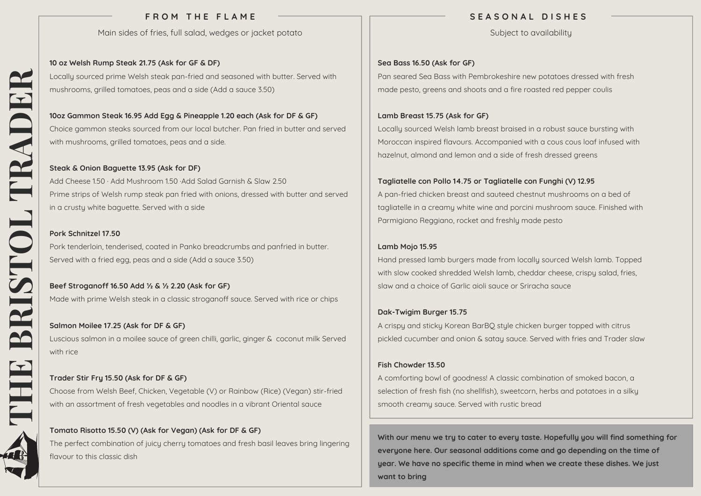# **F R O M T H E F L A M E**

Main sides of fries, full salad, wedges or jacket potato

 mushrooms, grilled tomatoes, peas and a side (Add a sauce 3.50) **10 oz Welsh Rump Steak 21.75 (Ask for GF & DF)** Locally sourced prime Welsh steak pan-fried and seasoned with butter. Served with

 with mushrooms, grilled tomatoes, peas and a side. **10oz Gammon Steak 16.95 Add Egg & Pineapple 1.20 each (Ask for DF & GF)** Choice gammon steaks sourced from our local butcher. Pan fried in butter and served

# **Steak & Onion Baguette 13.95 (Ask for DF)**

 in a crusty white baguette. Served with a side Add Cheese 1.50 · Add Mushroom 1.50 ·Add Salad Garnish & Slaw 2.50 Prime strips of Welsh rump steak pan fried with onions, dressed with butter and served

#### **Pork Schnitzel 17.50**

 Served with a fried egg, peas and a side (Add a sauce 3.50) Pork tenderloin, tenderised, coated in Panko breadcrumbs and panfried in butter.

 Made with prime Welsh steak in a classic stroganoff sauce. Served with rice or chips **Beef Stroganoff 16.50 Add ½ & ½ 2.20 (Ask for GF)**

 with rice **Salmon Moilee 17.25 (Ask for DF & GF)** Luscious salmon in a moilee sauce of green chilli, garlic, ginger & coconut milk Served

# **Trader Stir Fry 15.50 (Ask for DF & GF)**

 with an assortment of fresh vegetables and noodles in a vibrant Oriental sauce Choose from Welsh Beef, Chicken, Vegetable (V) or Rainbow (Rice) (Vegan) stir‐fried

# **Tomato Risotto 15.50 (V) (Ask for Vegan) (Ask for DF & GF)**

The perfect combination of juicy cherry tomatoes and fresh basil leaves bring lingering flavour to this classic dish

# **S E A S O N A L D I S H E S**

Subject to availability

## **Sea Bass 16.50 (Ask for GF)**

Pan seared Sea Bass with Pembrokeshire new potatoes dressed with fresh made pesto, greens and shoots and a fire roasted red pepper coulis

## **Lamb Breast 15.75 (Ask for GF)**

Locally sourced Welsh lamb breast braised in a robust sauce bursting with Moroccan inspired flavours. Accompanied with a cous cous loaf infused with hazelnut, almond and lemon and a side of fresh dressed greens

## **Tagliatelle con Pollo 14.75 or Tagliatelle con Funghi (V) 12.95**

A pan‐fried chicken breast and sauteed chestnut mushrooms on a bed of tagliatelle in a creamy white wine and porcini mushroom sauce. Finished with Parmigiano Reggiano, rocket and freshly made pesto

## **Lamb Mojo 15.95**

Hand pressed lamb burgers made from locally sourced Welsh lamb. Topped with slow cooked shredded Welsh lamb, cheddar cheese, crispy salad, fries, slaw and a choice of Garlic aioli sauce or Sriracha sauce

# **Dak‐Twigim Burger 15.75**

A crispy and sticky Korean BarBQ style chicken burger topped with citrus pickled cucumber and onion & satay sauce. Served with fries and Trader slaw

#### **Fish Chowder 13.50**

A comforting bowl of goodness! A classic combination of smoked bacon, a selection of fresh fish (no shellfish), sweetcorn, herbs and potatoes in a silky smooth creamy sauce. Served with rustic bread

**With our menu we try to cater to every taste. Hopefully you will find something for everyone here. Our seasonal additions come and go depending on the time of year. We have no specific theme in mind when we create these dishes. We just want to bring**